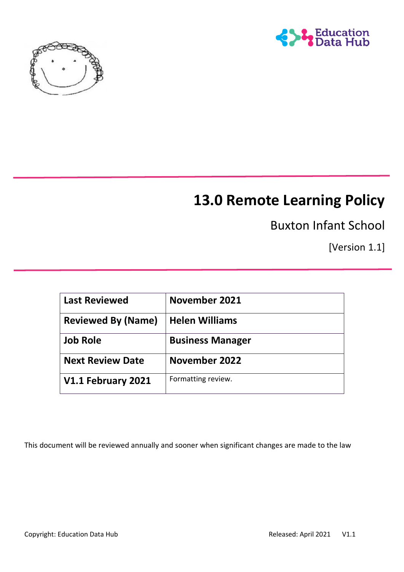



# **13.0 Remote Learning Policy**

Buxton Infant School

[Version 1.1]

| <b>Last Reviewed</b>      | November 2021           |
|---------------------------|-------------------------|
| <b>Reviewed By (Name)</b> | <b>Helen Williams</b>   |
| <b>Job Role</b>           | <b>Business Manager</b> |
| <b>Next Review Date</b>   | November 2022           |
| V1.1 February 2021        | Formatting review.      |

This document will be reviewed annually and sooner when significant changes are made to the law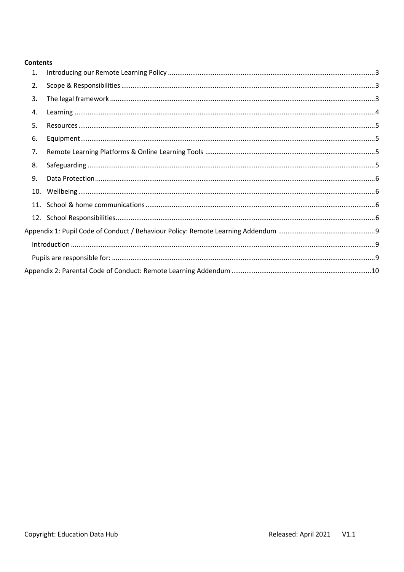#### **Contents**

| 1.  |  |
|-----|--|
| 2.  |  |
| 3.  |  |
| 4.  |  |
| 5.  |  |
| 6.  |  |
| 7.  |  |
| 8.  |  |
| 9.  |  |
|     |  |
| 11. |  |
|     |  |
|     |  |
|     |  |
|     |  |
|     |  |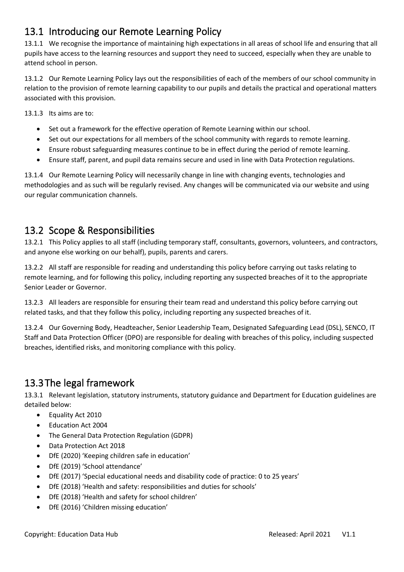# <span id="page-2-0"></span>13.1 Introducing our Remote Learning Policy

13.1.1 We recognise the importance of maintaining high expectations in all areas of school life and ensuring that all pupils have access to the learning resources and support they need to succeed, especially when they are unable to attend school in person.

13.1.2 Our Remote Learning Policy lays out the responsibilities of each of the members of our school community in relation to the provision of remote learning capability to our pupils and details the practical and operational matters associated with this provision.

13.1.3 Its aims are to:

- Set out a framework for the effective operation of Remote Learning within our school.
- Set out our expectations for all members of the school community with regards to remote learning.
- Ensure robust safeguarding measures continue to be in effect during the period of remote learning.
- Ensure staff, parent, and pupil data remains secure and used in line with Data Protection regulations.

13.1.4 Our Remote Learning Policy will necessarily change in line with changing events, technologies and methodologies and as such will be regularly revised. Any changes will be communicated via our website and using our regular communication channels.

## <span id="page-2-1"></span>13.2 Scope & Responsibilities

13.2.1 This Policy applies to all staff (including temporary staff, consultants, governors, volunteers, and contractors, and anyone else working on our behalf), pupils, parents and carers.

13.2.2 All staff are responsible for reading and understanding this policy before carrying out tasks relating to remote learning, and for following this policy, including reporting any suspected breaches of it to the appropriate Senior Leader or Governor.

13.2.3 All leaders are responsible for ensuring their team read and understand this policy before carrying out related tasks, and that they follow this policy, including reporting any suspected breaches of it.

13.2.4 Our Governing Body, Headteacher, Senior Leadership Team, Designated Safeguarding Lead (DSL), SENCO, IT Staff and Data Protection Officer (DPO) are responsible for dealing with breaches of this policy, including suspected breaches, identified risks, and monitoring compliance with this policy.

# <span id="page-2-2"></span>13.3The legal framework

13.3.1 Relevant legislation, statutory instruments, statutory guidance and Department for Education guidelines are detailed below:

- Equality Act 2010
- Education Act 2004
- The General Data Protection Regulation (GDPR)
- Data Protection Act 2018
- DfE (2020) 'Keeping children safe in education'
- DfE (2019) 'School attendance'
- DfE (2017) 'Special educational needs and disability code of practice: 0 to 25 years'
- DfE (2018) 'Health and safety: responsibilities and duties for schools'
- DfE (2018) 'Health and safety for school children'
- DfE (2016) 'Children missing education'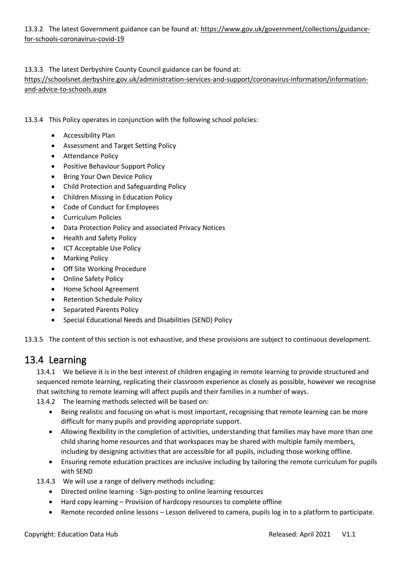13.3.2 The latest Government guidance can be found at: [https://www.gov.uk/government/collections/guidance](https://www.gov.uk/government/collections/guidance-for-schools-coronavirus-covid-19)[for-schools-coronavirus-covid-19](https://www.gov.uk/government/collections/guidance-for-schools-coronavirus-covid-19)

#### 13.3.3 The latest Derbyshire County Council guidance can be found at:

[https://schoolsnet.derbyshire.gov.uk/administration-services-and-support/coronavirus-information/information](https://schoolsnet.derbyshire.gov.uk/administration-services-and-support/coronavirus-information/information-and-advice-to-schools.aspx)[and-advice-to-schools.aspx](https://schoolsnet.derbyshire.gov.uk/administration-services-and-support/coronavirus-information/information-and-advice-to-schools.aspx)

- 13.3.4 This Policy operates in conjunction with the following school policies:
	- Accessibility Plan
	- Assessment and Target Setting Policy
	- Attendance Policy
	- Positive Behaviour Support Policy
	- Bring Your Own Device Policy
	- Child Protection and Safeguarding Policy
	- Children Missing in Education Policy
	- Code of Conduct for Employees
	- Curriculum Policies
	- Data Protection Policy and associated Privacy Notices
	- Health and Safety Policy
	- ICT Acceptable Use Policy
	- Marking Policy
	- **Off Site Working Procedure**
	- Online Safety Policy
	- Home School Agreement
	- Retention Schedule Policy
	- Separated Parents Policy
	- Special Educational Needs and Disabilities (SEND) Policy

13.3.5 The content of this section is not exhaustive, and these provisions are subject to continuous development.

#### <span id="page-3-0"></span>13.4 Learning

13.4.1 We believe it is in the best interest of children engaging in remote learning to provide structured and sequenced remote learning, replicating their classroom experience as closely as possible, however we recognise that switching to remote learning will affect pupils and their families in a number of ways.

13.4.2 The learning methods selected will be based on:

- Being realistic and focusing on what is most important, recognising that remote learning can be more difficult for many pupils and providing appropriate support.
- Allowing flexibility in the completion of activities, understanding that families may have more than one child sharing home resources and that workspaces may be shared with multiple family members, including by designing activities that are accessible for all pupils, including those working offline.
- Ensuring remote education practices are inclusive including by tailoring the remote curriculum for pupils with SEND
- 13.4.3 We will use a range of delivery methods including:
	- Directed online learning Sign-posting to online learning resources
	- Hard copy learning Provision of hardcopy resources to complete offline
	- Remote recorded online lessons Lesson delivered to camera, pupils log in to a platform to participate.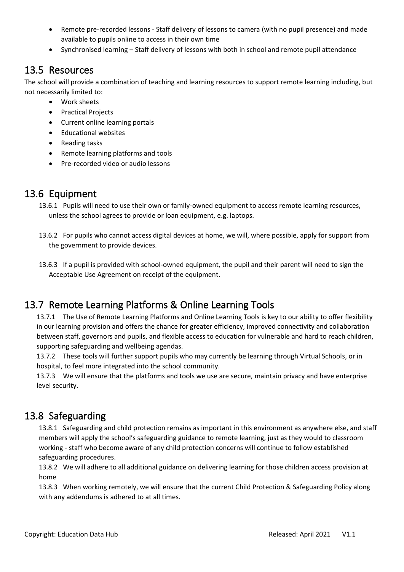- Remote pre-recorded lessons Staff delivery of lessons to camera (with no pupil presence) and made available to pupils online to access in their own time
- Synchronised learning Staff delivery of lessons with both in school and remote pupil attendance

### <span id="page-4-0"></span>13.5 Resources

The school will provide a combination of teaching and learning resources to support remote learning including, but not necessarily limited to:

- Work sheets
- Practical Projects
- Current online learning portals
- Educational websites
- Reading tasks
- Remote learning platforms and tools
- Pre-recorded video or audio lessons

### <span id="page-4-1"></span>13.6 Equipment

- 13.6.1 Pupils will need to use their own or family-owned equipment to access remote learning resources, unless the school agrees to provide or loan equipment, e.g. laptops.
- 13.6.2 For pupils who cannot access digital devices at home, we will, where possible, apply for support from the government to provide devices.
- 13.6.3 If a pupil is provided with school-owned equipment, the pupil and their parent will need to sign the Acceptable Use Agreement on receipt of the equipment.

# <span id="page-4-2"></span>13.7 Remote Learning Platforms & Online Learning Tools

13.7.1 The Use of Remote Learning Platforms and Online Learning Tools is key to our ability to offer flexibility in our learning provision and offers the chance for greater efficiency, improved connectivity and collaboration between staff, governors and pupils, and flexible access to education for vulnerable and hard to reach children, supporting safeguarding and wellbeing agendas.

13.7.2 These tools will further support pupils who may currently be learning through Virtual Schools, or in hospital, to feel more integrated into the school community.

13.7.3 We will ensure that the platforms and tools we use are secure, maintain privacy and have enterprise level security.

### <span id="page-4-3"></span>13.8 Safeguarding

13.8.1 Safeguarding and child protection remains as important in this environment as anywhere else, and staff members will apply the school's safeguarding guidance to remote learning, just as they would to classroom working - staff who become aware of any child protection concerns will continue to follow established safeguarding procedures.

13.8.2 We will adhere to all additional guidance on delivering learning for those children access provision at home

13.8.3 When working remotely, we will ensure that the current Child Protection & Safeguarding Policy along with any addendums is adhered to at all times.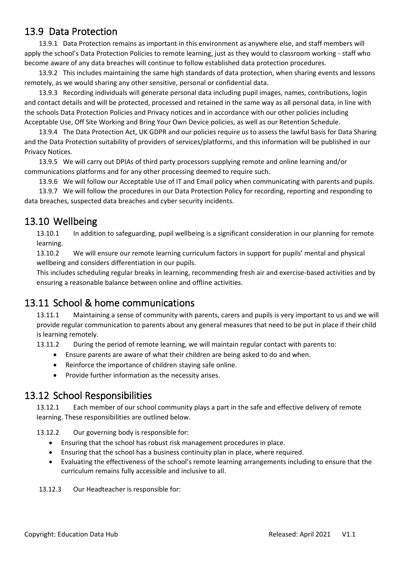### <span id="page-5-0"></span>13.9 Data Protection

13.9.1 Data Protection remains as important in this environment as anywhere else, and staff members will apply the school's Data Protection Policies to remote learning, just as they would to classroom working - staff who become aware of any data breaches will continue to follow established data protection procedures.

13.9.2 This includes maintaining the same high standards of data protection, when sharing events and lessons remotely, as we would sharing any other sensitive, personal or confidential data.

13.9.3 Recording individuals will generate personal data including pupil images, names, contributions, login and contact details and will be protected, processed and retained in the same way as all personal data, in line with the schools Data Protection Policies and Privacy notices and in accordance with our other policies including Acceptable Use, Off Site Working and Bring Your Own Device policies, as well as our Retention Schedule.

13.9.4 The Data Protection Act, UK GDPR and our policies require us to assess the lawful basis for Data Sharing and the Data Protection suitability of providers of services/platforms, and this information will be published in our Privacy Notices.

13.9.5 We will carry out DPIAs of third party processors supplying remote and online learning and/or communications platforms and for any other processing deemed to require such.

13.9.6 We will follow our Acceptable Use of IT and Email policy when communicating with parents and pupils.

13.9.7 We will follow the procedures in our Data Protection Policy for recording, reporting and responding to data breaches, suspected data breaches and cyber security incidents.

### <span id="page-5-1"></span>13.10 Wellbeing

13.10.1 In addition to safeguarding, pupil wellbeing is a significant consideration in our planning for remote learning.

13.10.2 We will ensure our remote learning curriculum factors in support for pupils' mental and physical wellbeing and considers differentiation in our pupils.

This includes scheduling regular breaks in learning, recommending fresh air and exercise-based activities and by ensuring a reasonable balance between online and offline activities.

# <span id="page-5-2"></span>13.11 School & home communications

13.11.1 Maintaining a sense of community with parents, carers and pupils is very important to us and we will provide regular communication to parents about any general measures that need to be put in place if their child is learning remotely.

13.11.2 During the period of remote learning, we will maintain regular contact with parents to:

- Ensure parents are aware of what their children are being asked to do and when.
- Reinforce the importance of children staying safe online.
- Provide further information as the necessity arises.

### <span id="page-5-3"></span>13.12 School Responsibilities

13.12.1 Each member of our school community plays a part in the safe and effective delivery of remote learning. These responsibilities are outlined below.

13.12.2 Our governing body is responsible for:

- Ensuring that the school has robust risk management procedures in place.
- Ensuring that the school has a business continuity plan in place, where required.
- Evaluating the effectiveness of the school's remote learning arrangements including to ensure that the curriculum remains fully accessible and inclusive to all.
- 13.12.3 Our Headteacher is responsible for: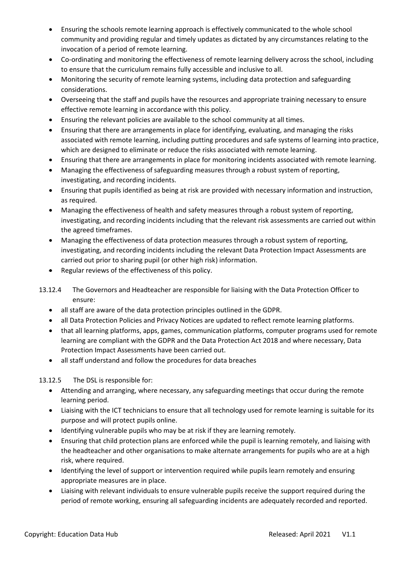- Ensuring the schools remote learning approach is effectively communicated to the whole school community and providing regular and timely updates as dictated by any circumstances relating to the invocation of a period of remote learning.
- Co-ordinating and monitoring the effectiveness of remote learning delivery across the school, including to ensure that the curriculum remains fully accessible and inclusive to all.
- Monitoring the security of remote learning systems, including data protection and safeguarding considerations.
- Overseeing that the staff and pupils have the resources and appropriate training necessary to ensure effective remote learning in accordance with this policy.
- Ensuring the relevant policies are available to the school community at all times.
- Ensuring that there are arrangements in place for identifying, evaluating, and managing the risks associated with remote learning, including putting procedures and safe systems of learning into practice, which are designed to eliminate or reduce the risks associated with remote learning.
- Ensuring that there are arrangements in place for monitoring incidents associated with remote learning.
- Managing the effectiveness of safeguarding measures through a robust system of reporting, investigating, and recording incidents.
- Ensuring that pupils identified as being at risk are provided with necessary information and instruction, as required.
- Managing the effectiveness of health and safety measures through a robust system of reporting, investigating, and recording incidents including that the relevant risk assessments are carried out within the agreed timeframes.
- Managing the effectiveness of data protection measures through a robust system of reporting, investigating, and recording incidents including the relevant Data Protection Impact Assessments are carried out prior to sharing pupil (or other high risk) information.
- Regular reviews of the effectiveness of this policy.
- 13.12.4 The Governors and Headteacher are responsible for liaising with the Data Protection Officer to ensure:
	- all staff are aware of the data protection principles outlined in the GDPR.
	- all Data Protection Policies and Privacy Notices are updated to reflect remote learning platforms.
	- that all learning platforms, apps, games, communication platforms, computer programs used for remote learning are compliant with the GDPR and the Data Protection Act 2018 and where necessary, Data Protection Impact Assessments have been carried out.
	- all staff understand and follow the procedures for data breaches
- 13.12.5 The DSL is responsible for:
	- Attending and arranging, where necessary, any safeguarding meetings that occur during the remote learning period.
	- Liaising with the ICT technicians to ensure that all technology used for remote learning is suitable for its purpose and will protect pupils online.
	- Identifying vulnerable pupils who may be at risk if they are learning remotely.
	- Ensuring that child protection plans are enforced while the pupil is learning remotely, and liaising with the headteacher and other organisations to make alternate arrangements for pupils who are at a high risk, where required.
	- Identifying the level of support or intervention required while pupils learn remotely and ensuring appropriate measures are in place.
	- Liaising with relevant individuals to ensure vulnerable pupils receive the support required during the period of remote working, ensuring all safeguarding incidents are adequately recorded and reported.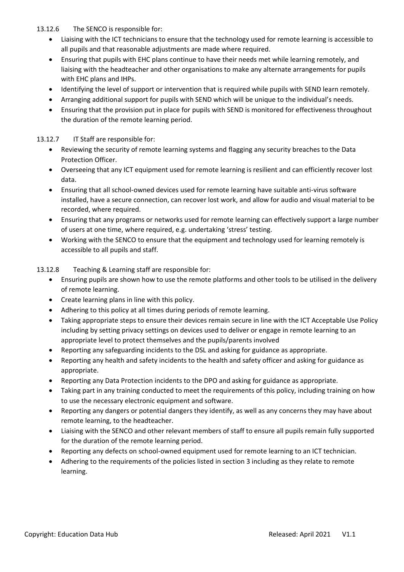#### 13.12.6 The SENCO is responsible for:

- Liaising with the ICT technicians to ensure that the technology used for remote learning is accessible to all pupils and that reasonable adjustments are made where required.
- Ensuring that pupils with EHC plans continue to have their needs met while learning remotely, and liaising with the headteacher and other organisations to make any alternate arrangements for pupils with EHC plans and IHPs.
- Identifying the level of support or intervention that is required while pupils with SEND learn remotely.
- Arranging additional support for pupils with SEND which will be unique to the individual's needs.
- Ensuring that the provision put in place for pupils with SEND is monitored for effectiveness throughout the duration of the remote learning period.

#### 13.12.7 IT Staff are responsible for:

- Reviewing the security of remote learning systems and flagging any security breaches to the Data Protection Officer.
- Overseeing that any ICT equipment used for remote learning is resilient and can efficiently recover lost data.
- Ensuring that all school-owned devices used for remote learning have suitable anti-virus software installed, have a secure connection, can recover lost work, and allow for audio and visual material to be recorded, where required.
- Ensuring that any programs or networks used for remote learning can effectively support a large number of users at one time, where required, e.g. undertaking 'stress' testing.
- Working with the SENCO to ensure that the equipment and technology used for learning remotely is accessible to all pupils and staff.

#### 13.12.8 Teaching & Learning staff are responsible for:

- Ensuring pupils are shown how to use the remote platforms and other tools to be utilised in the delivery of remote learning.
- Create learning plans in line with this policy.
- Adhering to this policy at all times during periods of remote learning.
- Taking appropriate steps to ensure their devices remain secure in line with the ICT Acceptable Use Policy including by setting privacy settings on devices used to deliver or engage in remote learning to an appropriate level to protect themselves and the pupils/parents involved
- Reporting any safeguarding incidents to the DSL and asking for guidance as appropriate.
- Reporting any health and safety incidents to the health and safety officer and asking for guidance as appropriate.
- Reporting any Data Protection incidents to the DPO and asking for guidance as appropriate.
- Taking part in any training conducted to meet the requirements of this policy, including training on how to use the necessary electronic equipment and software.
- Reporting any dangers or potential dangers they identify, as well as any concerns they may have about remote learning, to the headteacher.
- Liaising with the SENCO and other relevant members of staff to ensure all pupils remain fully supported for the duration of the remote learning period.
- Reporting any defects on school-owned equipment used for remote learning to an ICT technician.
- Adhering to the requirements of the policies listed in section 3 including as they relate to remote learning.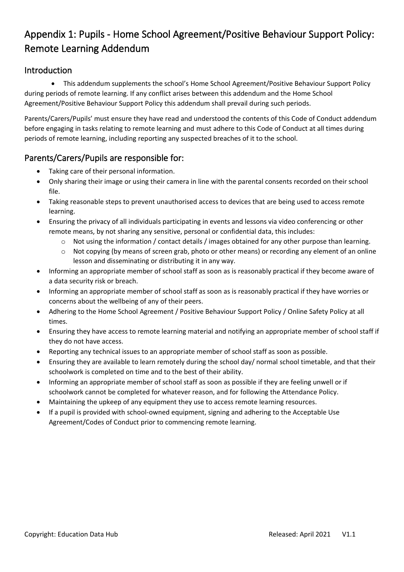# <span id="page-8-0"></span>Appendix 1: Pupils - Home School Agreement/Positive Behaviour Support Policy: Remote Learning Addendum

#### <span id="page-8-1"></span>Introduction

• This addendum supplements the school's Home School Agreement/Positive Behaviour Support Policy during periods of remote learning. If any conflict arises between this addendum and the Home School Agreement/Positive Behaviour Support Policy this addendum shall prevail during such periods.

Parents/Carers/Pupils' must ensure they have read and understood the contents of this Code of Conduct addendum before engaging in tasks relating to remote learning and must adhere to this Code of Conduct at all times during periods of remote learning, including reporting any suspected breaches of it to the school.

#### <span id="page-8-2"></span>Parents/Carers/Pupils are responsible for:

- Taking care of their personal information.
- Only sharing their image or using their camera in line with the parental consents recorded on their school file.
- Taking reasonable steps to prevent unauthorised access to devices that are being used to access remote learning.
- Ensuring the privacy of all individuals participating in events and lessons via video conferencing or other remote means, by not sharing any sensitive, personal or confidential data, this includes:
	- o Not using the information / contact details / images obtained for any other purpose than learning.
	- o Not copying (by means of screen grab, photo or other means) or recording any element of an online lesson and disseminating or distributing it in any way.
- Informing an appropriate member of school staff as soon as is reasonably practical if they become aware of a data security risk or breach.
- Informing an appropriate member of school staff as soon as is reasonably practical if they have worries or concerns about the wellbeing of any of their peers.
- Adhering to the Home School Agreement / Positive Behaviour Support Policy / Online Safety Policy at all times.
- Ensuring they have access to remote learning material and notifying an appropriate member of school staff if they do not have access.
- Reporting any technical issues to an appropriate member of school staff as soon as possible.
- Ensuring they are available to learn remotely during the school day/ normal school timetable, and that their schoolwork is completed on time and to the best of their ability.
- Informing an appropriate member of school staff as soon as possible if they are feeling unwell or if schoolwork cannot be completed for whatever reason, and for following the Attendance Policy.
- Maintaining the upkeep of any equipment they use to access remote learning resources.
- If a pupil is provided with school-owned equipment, signing and adhering to the Acceptable Use Agreement/Codes of Conduct prior to commencing remote learning.